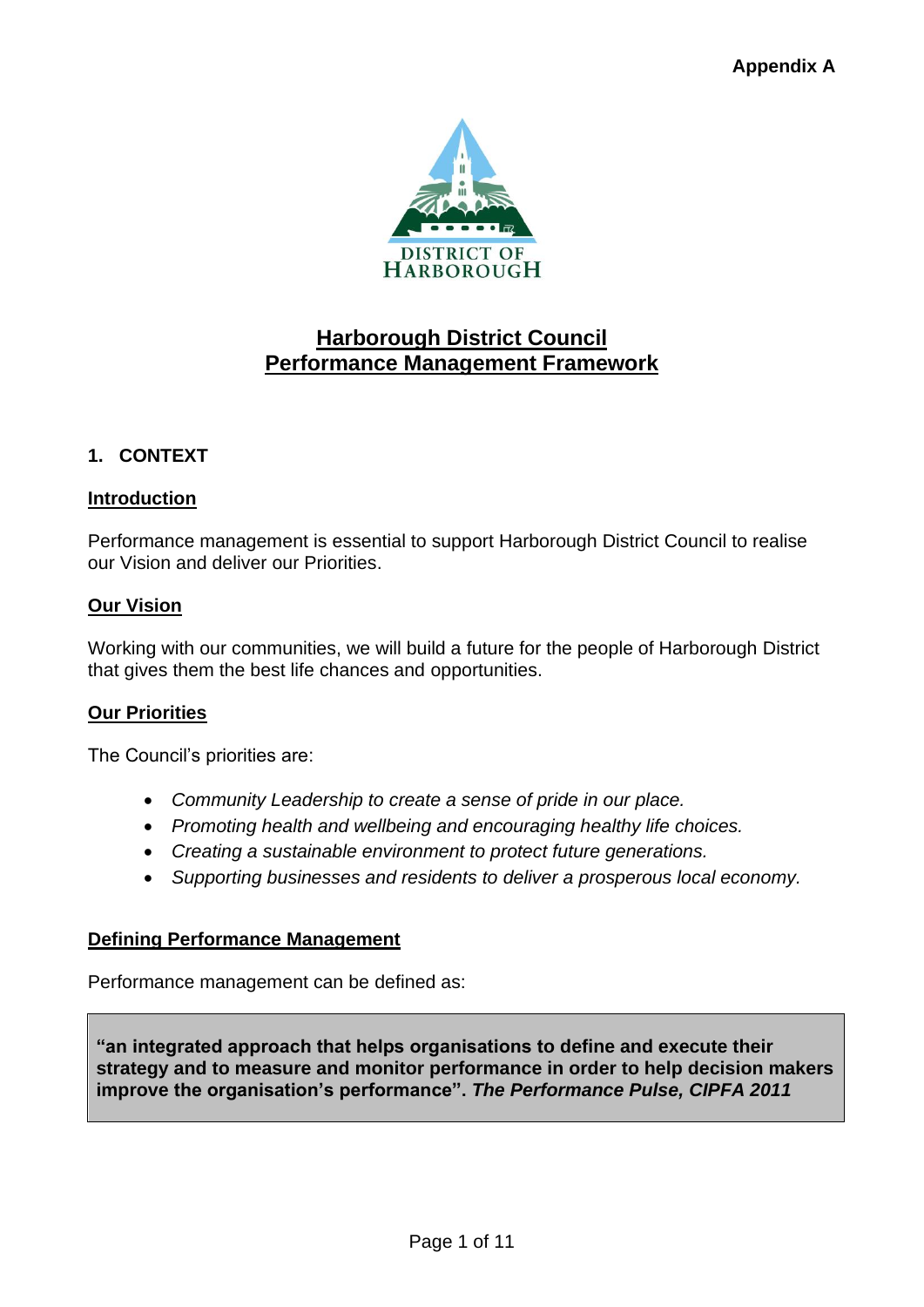

# **Harborough District Council Performance Management Framework**

# **1. CONTEXT**

# **Introduction**

Performance management is essential to support Harborough District Council to realise our Vision and deliver our Priorities.

# **Our Vision**

Working with our communities, we will build a future for the people of Harborough District that gives them the best life chances and opportunities.

### **Our Priorities**

The Council's priorities are:

- *Community Leadership to create a sense of pride in our place.*
- *Promoting health and wellbeing and encouraging healthy life choices.*
- *Creating a sustainable environment to protect future generations.*
- *Supporting businesses and residents to deliver a prosperous local economy.*

### **Defining Performance Management**

Performance management can be defined as:

**"an integrated approach that helps organisations to define and execute their strategy and to measure and monitor performance in order to help decision makers improve the organisation's performance".** *The Performance Pulse, CIPFA 2011*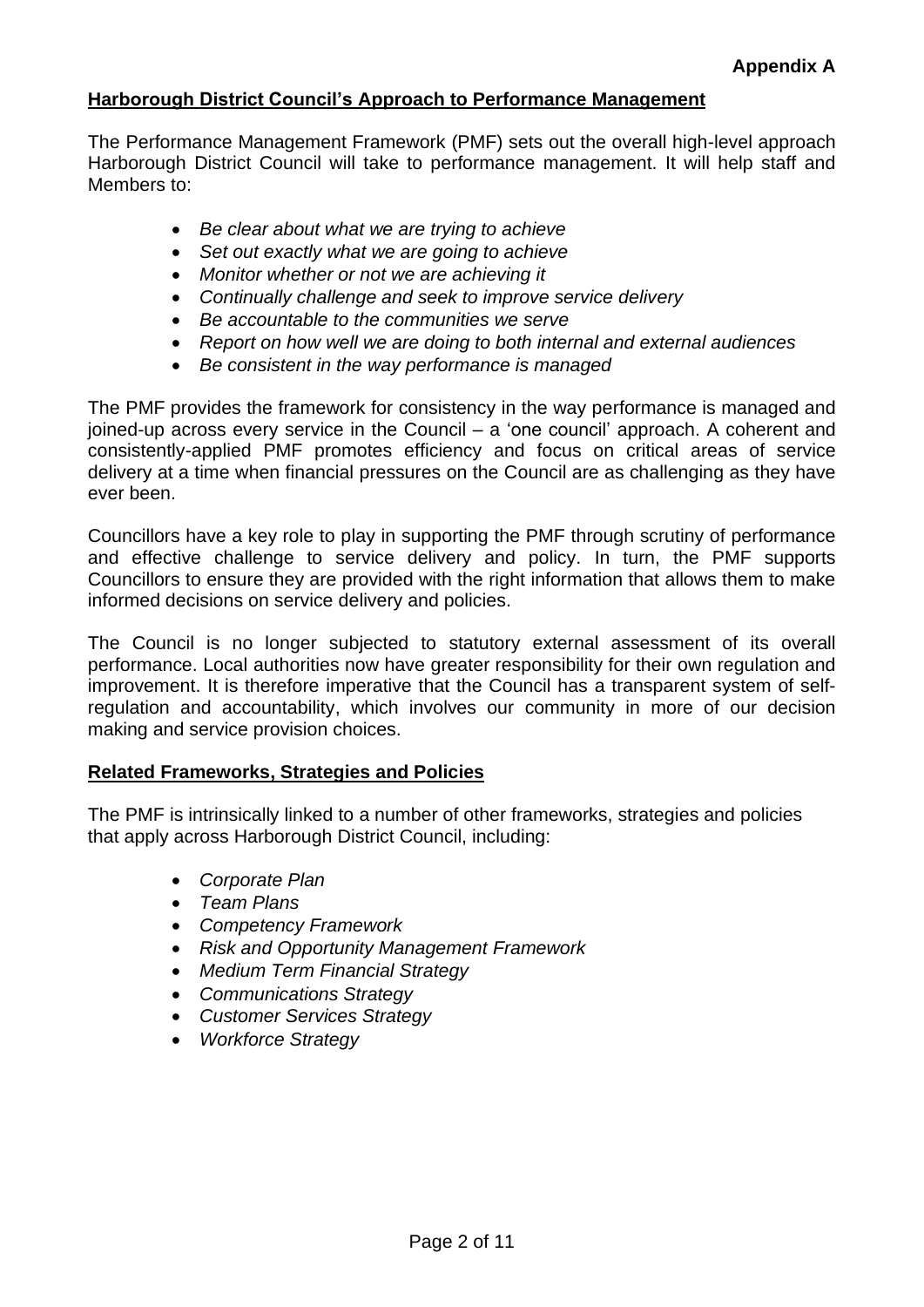# **Harborough District Council's Approach to Performance Management**

The Performance Management Framework (PMF) sets out the overall high-level approach Harborough District Council will take to performance management. It will help staff and Members to:

- *Be clear about what we are trying to achieve*
- *Set out exactly what we are going to achieve*
- *Monitor whether or not we are achieving it*
- *Continually challenge and seek to improve service delivery*
- *Be accountable to the communities we serve*
- *Report on how well we are doing to both internal and external audiences*
- *Be consistent in the way performance is managed*

The PMF provides the framework for consistency in the way performance is managed and joined-up across every service in the Council – a 'one council' approach. A coherent and consistently-applied PMF promotes efficiency and focus on critical areas of service delivery at a time when financial pressures on the Council are as challenging as they have ever been.

Councillors have a key role to play in supporting the PMF through scrutiny of performance and effective challenge to service delivery and policy. In turn, the PMF supports Councillors to ensure they are provided with the right information that allows them to make informed decisions on service delivery and policies.

The Council is no longer subjected to statutory external assessment of its overall performance. Local authorities now have greater responsibility for their own regulation and improvement. It is therefore imperative that the Council has a transparent system of selfregulation and accountability, which involves our community in more of our decision making and service provision choices.

### **Related Frameworks, Strategies and Policies**

The PMF is intrinsically linked to a number of other frameworks, strategies and policies that apply across Harborough District Council, including:

- *Corporate Plan*
- *Team Plans*
- *Competency Framework*
- *Risk and Opportunity Management Framework*
- *Medium Term Financial Strategy*
- *Communications Strategy*
- *Customer Services Strategy*
- *Workforce Strategy*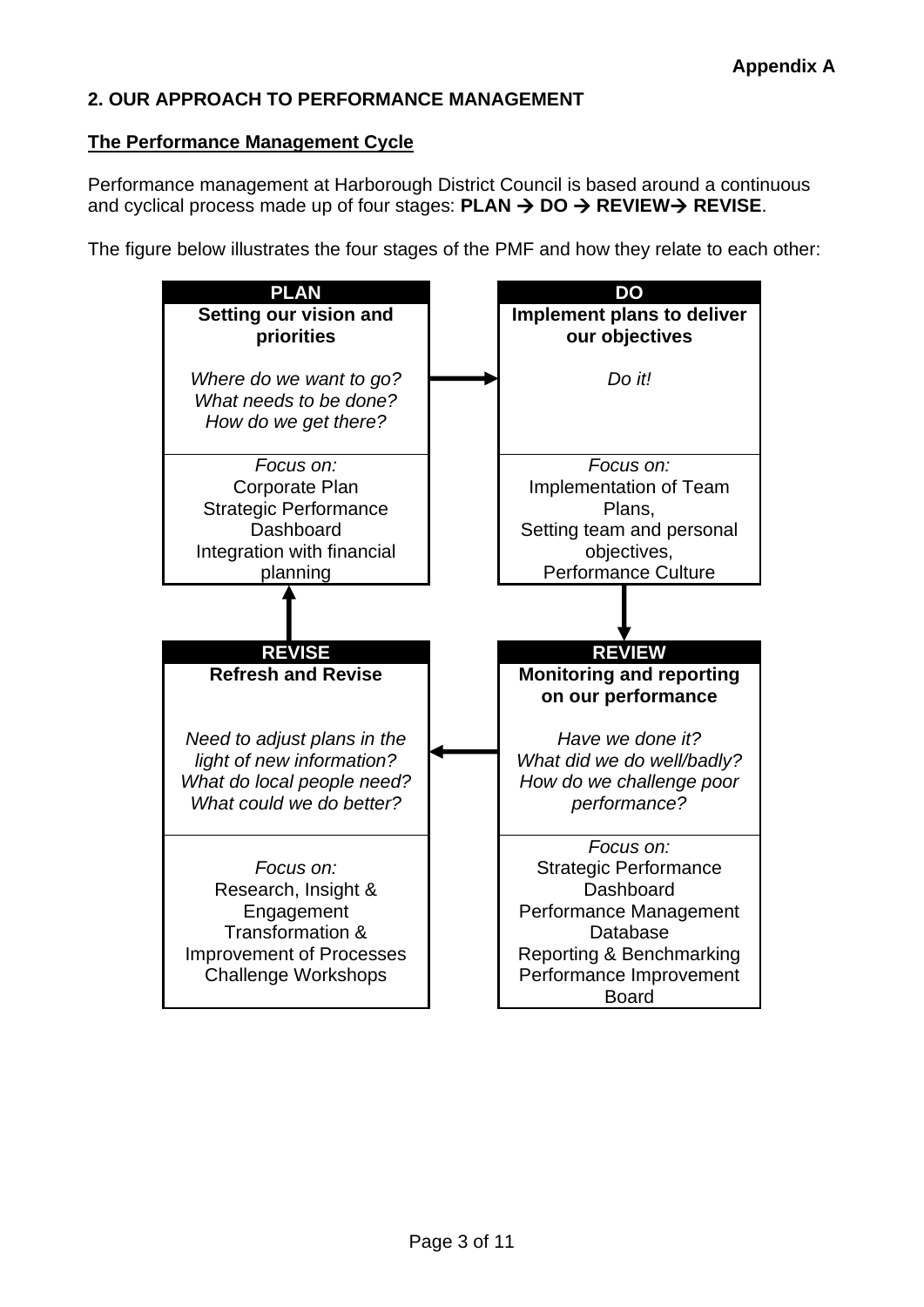# **2. OUR APPROACH TO PERFORMANCE MANAGEMENT**

### **The Performance Management Cycle**

Performance management at Harborough District Council is based around a continuous and cyclical process made up of four stages: **PLAN** → **DO** → **REVIEW**→ **REVISE**.

The figure below illustrates the four stages of the PMF and how they relate to each other:

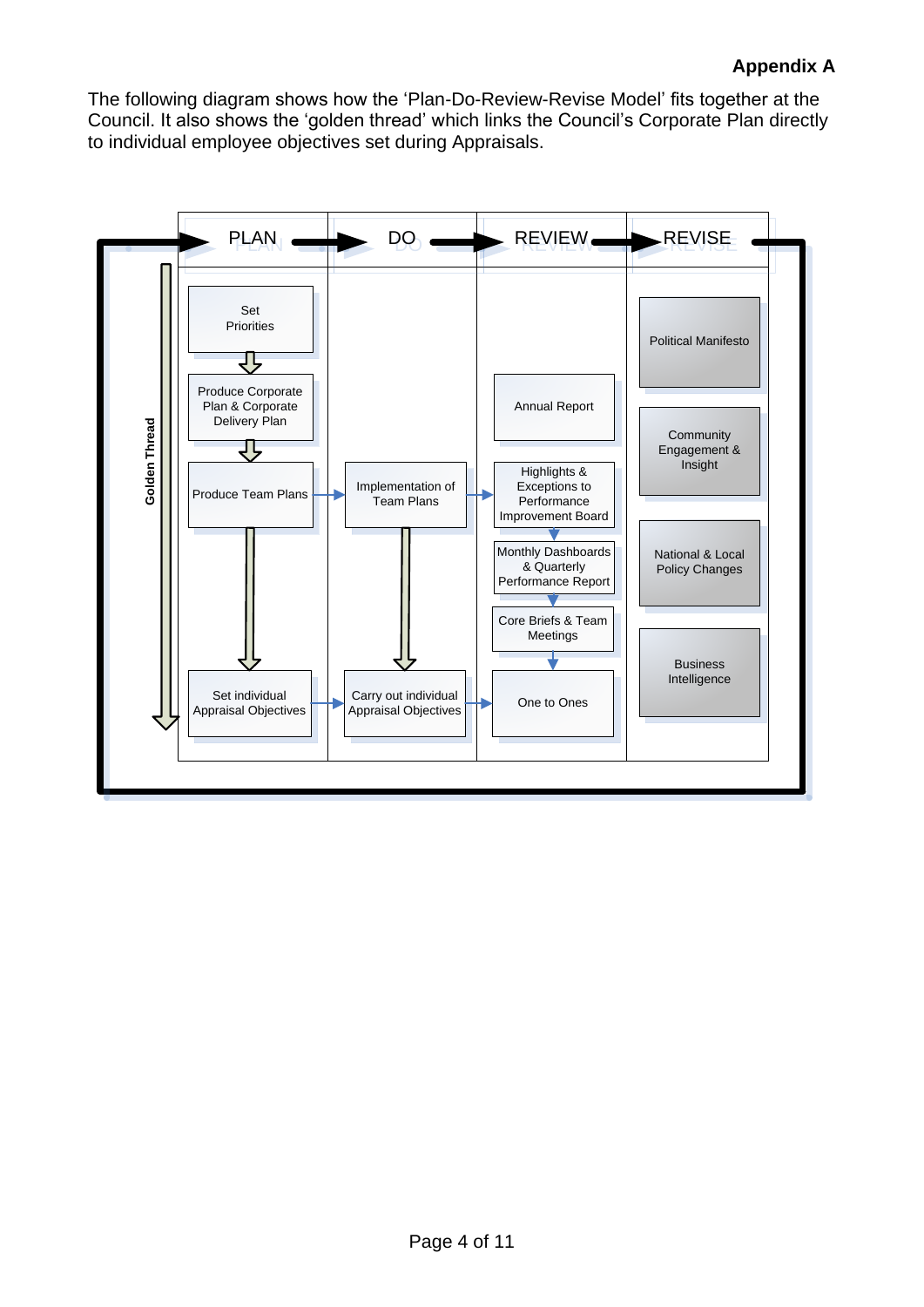The following diagram shows how the 'Plan-Do-Review-Revise Model' fits together at the Council. It also shows the 'golden thread' which links the Council's Corporate Plan directly to individual employee objectives set during Appraisals.

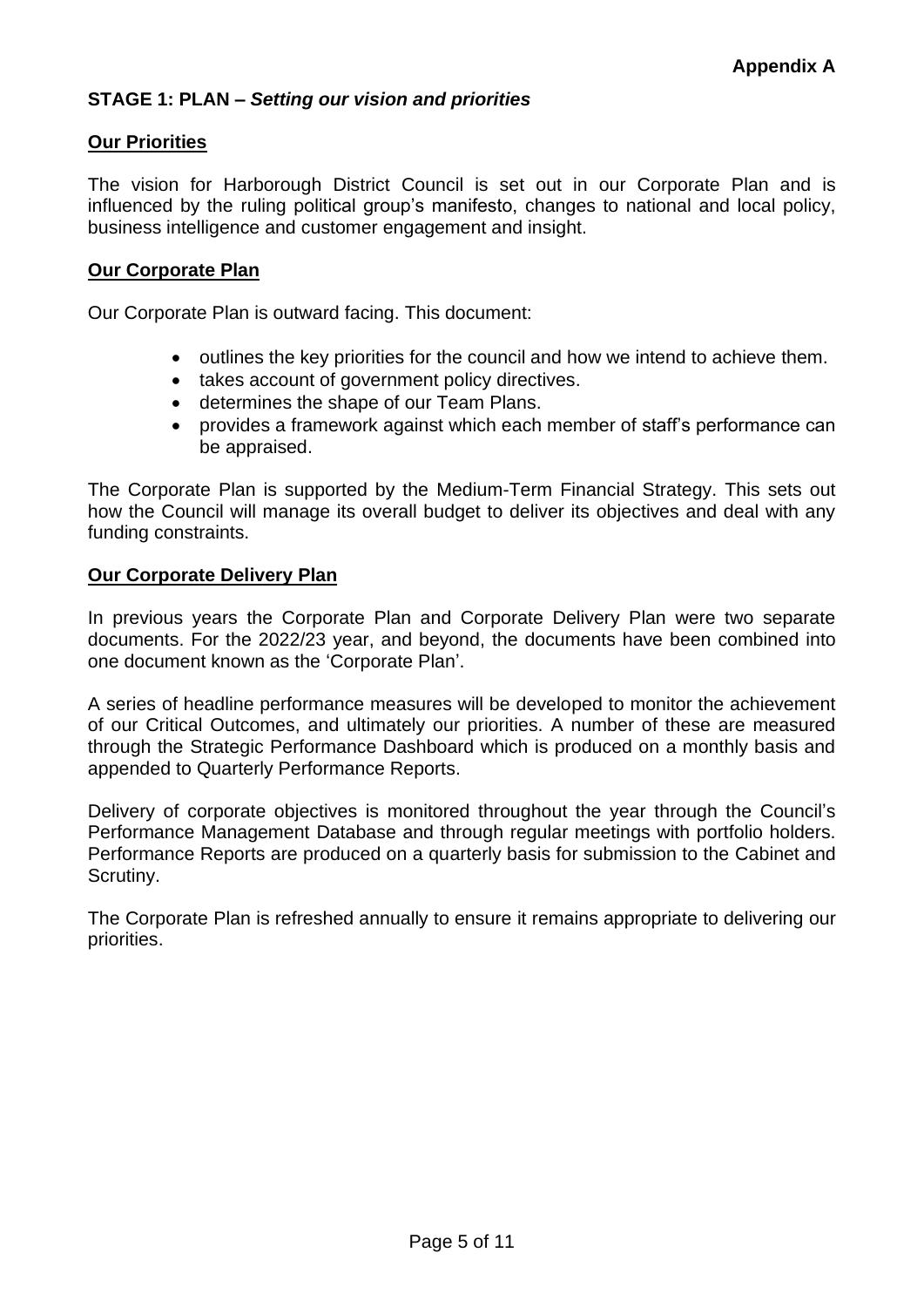# **STAGE 1: PLAN –** *Setting our vision and priorities*

### **Our Priorities**

The vision for Harborough District Council is set out in our Corporate Plan and is influenced by the ruling political group's manifesto, changes to national and local policy, business intelligence and customer engagement and insight.

### **Our Corporate Plan**

Our Corporate Plan is outward facing. This document:

- outlines the key priorities for the council and how we intend to achieve them.
- takes account of government policy directives.
- determines the shape of our Team Plans.
- provides a framework against which each member of staff's performance can be appraised.

The Corporate Plan is supported by the Medium-Term Financial Strategy. This sets out how the Council will manage its overall budget to deliver its objectives and deal with any funding constraints.

#### **Our Corporate Delivery Plan**

In previous years the Corporate Plan and Corporate Delivery Plan were two separate documents. For the 2022/23 year, and beyond, the documents have been combined into one document known as the 'Corporate Plan'.

A series of headline performance measures will be developed to monitor the achievement of our Critical Outcomes, and ultimately our priorities. A number of these are measured through the Strategic Performance Dashboard which is produced on a monthly basis and appended to Quarterly Performance Reports.

Delivery of corporate objectives is monitored throughout the year through the Council's Performance Management Database and through regular meetings with portfolio holders. Performance Reports are produced on a quarterly basis for submission to the Cabinet and Scrutiny.

The Corporate Plan is refreshed annually to ensure it remains appropriate to delivering our priorities.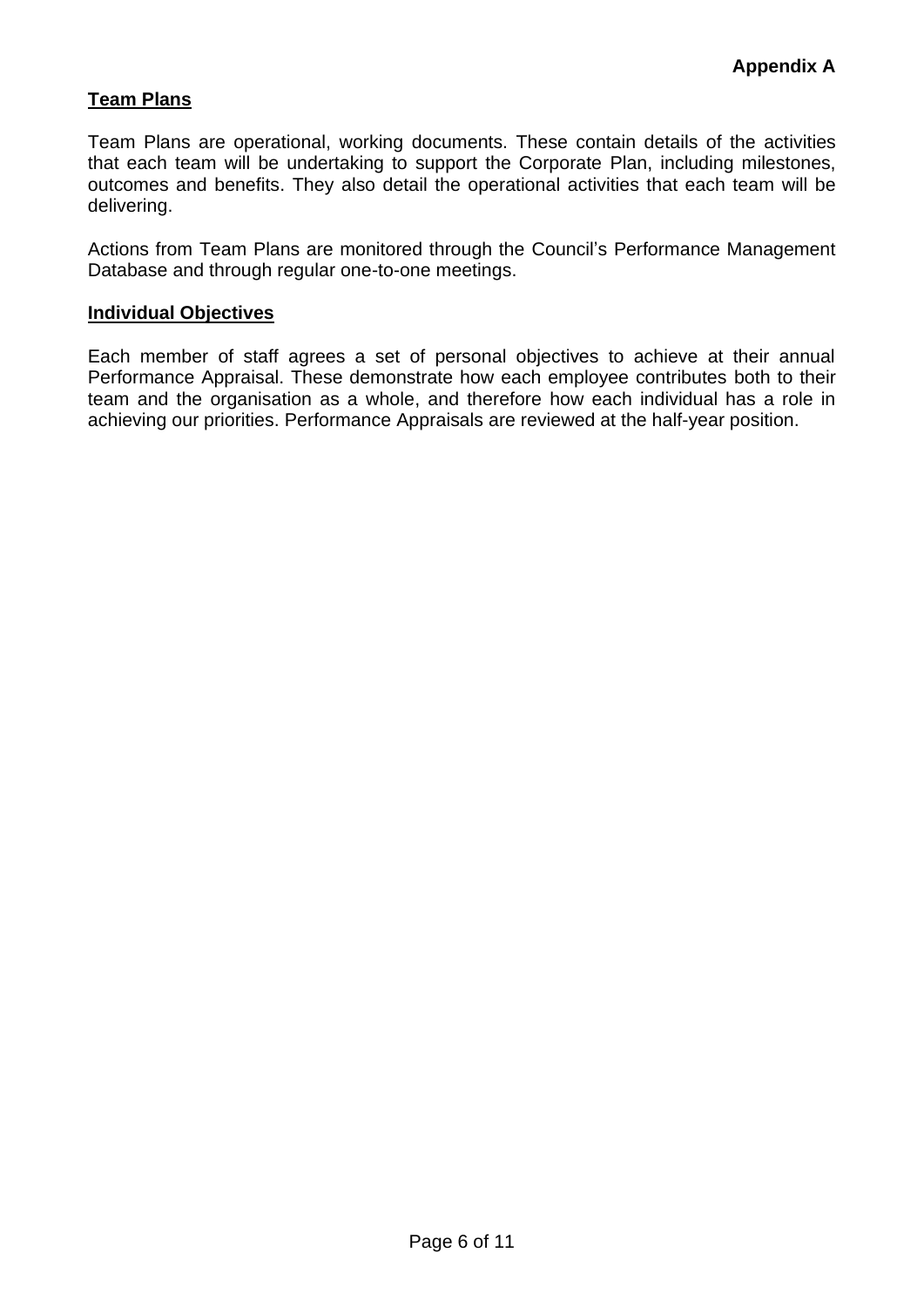# **Team Plans**

Team Plans are operational, working documents. These contain details of the activities that each team will be undertaking to support the Corporate Plan, including milestones, outcomes and benefits. They also detail the operational activities that each team will be delivering.

Actions from Team Plans are monitored through the Council's Performance Management Database and through regular one-to-one meetings.

#### **Individual Objectives**

Each member of staff agrees a set of personal objectives to achieve at their annual Performance Appraisal. These demonstrate how each employee contributes both to their team and the organisation as a whole, and therefore how each individual has a role in achieving our priorities. Performance Appraisals are reviewed at the half-year position.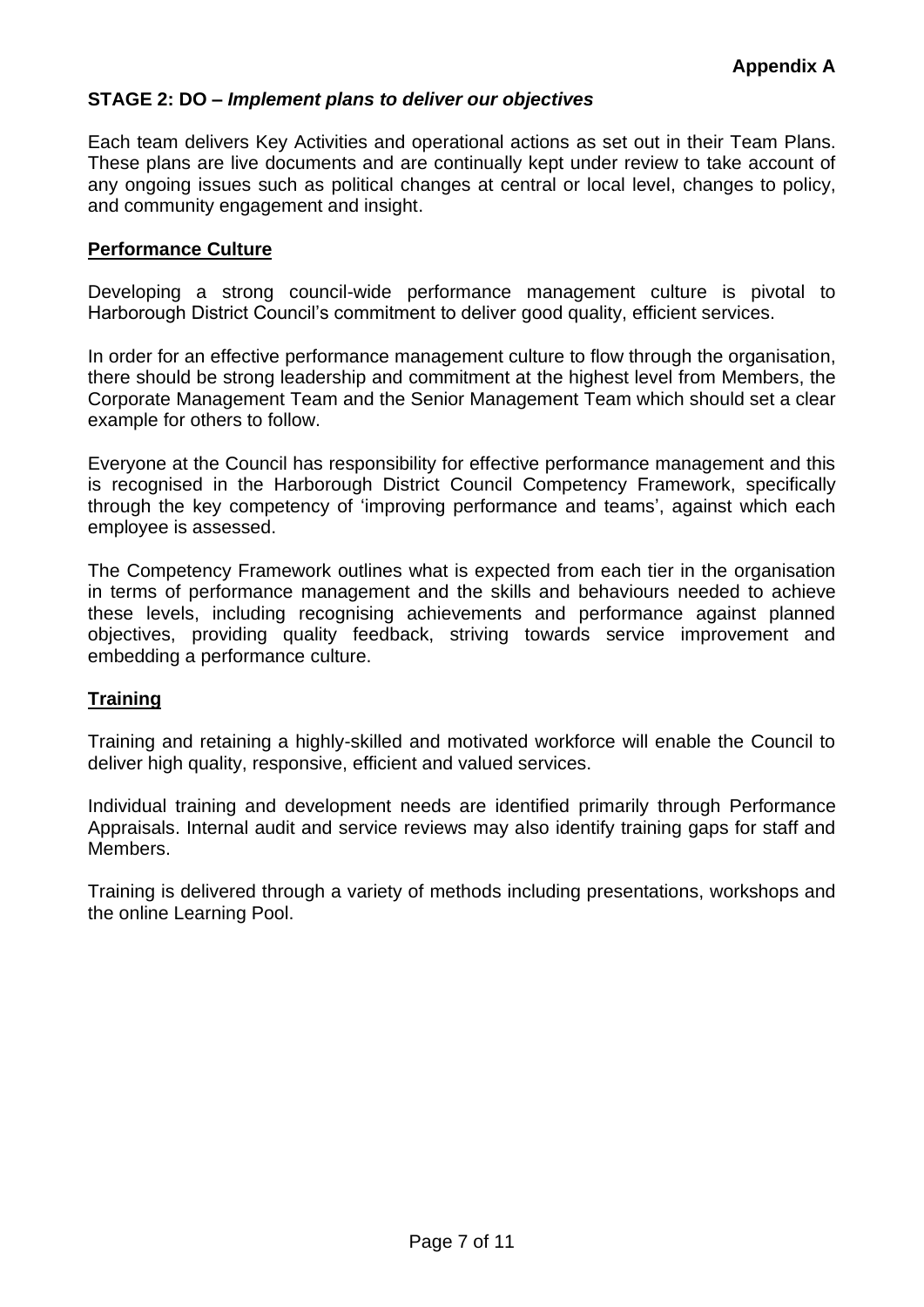# **STAGE 2: DO –** *Implement plans to deliver our objectives*

Each team delivers Key Activities and operational actions as set out in their Team Plans. These plans are live documents and are continually kept under review to take account of any ongoing issues such as political changes at central or local level, changes to policy, and community engagement and insight.

### **Performance [Culture](http://intranet.nottscc.gov.uk/index/managersresourcecentre/managingandsupportingemployees/competencies/)**

Developing a strong council-wide performance management culture is pivotal to Harborough District Council's commitment to deliver good quality, efficient services.

In order for an effective performance management culture to flow through the organisation, there should be strong leadership and commitment at the highest level from Members, the Corporate Management Team and the Senior Management Team which should set a clear example for others to follow.

Everyone at the Council has responsibility for effective performance management and this is recognised in the Harborough District Council Competency Framework, specifically through the key competency of 'improving performance and teams', against which each employee is assessed.

The Competency Framework outlines what is expected from each tier in the organisation in terms of performance management and the skills and behaviours needed to achieve these levels, including recognising achievements and performance against planned objectives, providing quality feedback, striving towards service improvement and embedding a performance culture.

### **Training**

Training and retaining a highly-skilled and motivated workforce will enable the Council to deliver high quality, responsive, efficient and valued services.

Individual training and development needs are identified primarily through Performance Appraisals. Internal audit and service reviews may also identify training gaps for staff and Members.

Training is delivered through a variety of methods including presentations, workshops and the online Learning Pool.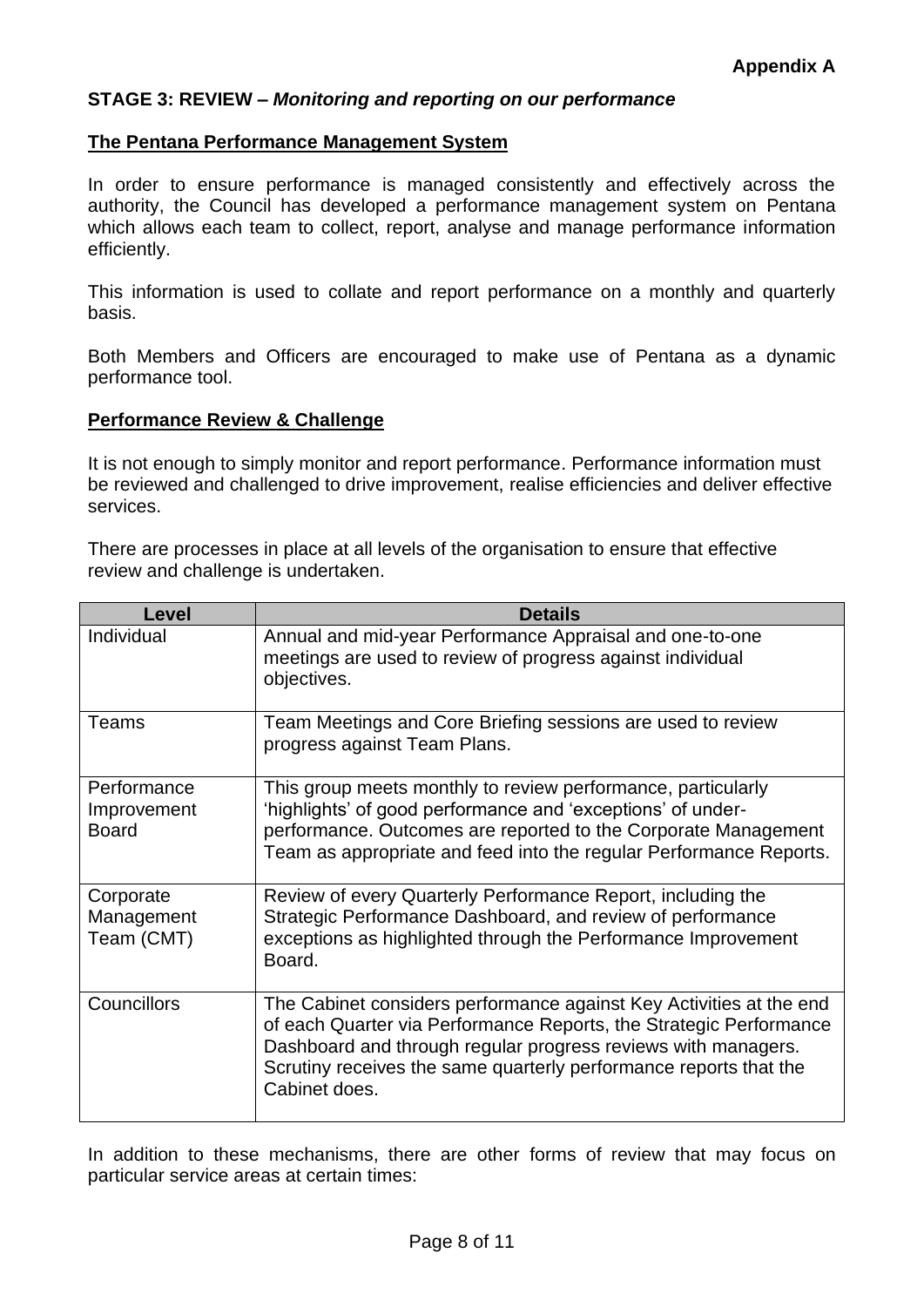### **STAGE 3: REVIEW –** *Monitoring and reporting on our performance*

#### **The Pentana Performance Management System**

In order to ensure performance is managed consistently and effectively across the authority, the Council has developed a performance management system on Pentana which allows each team to collect, report, analyse and manage performance information efficiently.

This information is used to collate and report performance on a monthly and quarterly basis.

Both Members and Officers are encouraged to make use of Pentana as a dynamic performance tool.

#### **Performance Review & Challenge**

It is not enough to simply monitor and report performance. Performance information must be reviewed and challenged to drive improvement, realise efficiencies and deliver effective services.

There are processes in place at all levels of the organisation to ensure that effective review and challenge is undertaken.

| Level                                      | <b>Details</b>                                                                                                                                                                                                                                                                                   |
|--------------------------------------------|--------------------------------------------------------------------------------------------------------------------------------------------------------------------------------------------------------------------------------------------------------------------------------------------------|
| Individual                                 | Annual and mid-year Performance Appraisal and one-to-one<br>meetings are used to review of progress against individual<br>objectives.                                                                                                                                                            |
| Teams                                      | Team Meetings and Core Briefing sessions are used to review<br>progress against Team Plans.                                                                                                                                                                                                      |
| Performance<br>Improvement<br><b>Board</b> | This group meets monthly to review performance, particularly<br>'highlights' of good performance and 'exceptions' of under-<br>performance. Outcomes are reported to the Corporate Management<br>Team as appropriate and feed into the regular Performance Reports.                              |
| Corporate<br>Management<br>Team (CMT)      | Review of every Quarterly Performance Report, including the<br>Strategic Performance Dashboard, and review of performance<br>exceptions as highlighted through the Performance Improvement<br>Board.                                                                                             |
| Councillors                                | The Cabinet considers performance against Key Activities at the end<br>of each Quarter via Performance Reports, the Strategic Performance<br>Dashboard and through regular progress reviews with managers.<br>Scrutiny receives the same quarterly performance reports that the<br>Cabinet does. |

In addition to these mechanisms, there are other forms of review that may focus on particular service areas at certain times: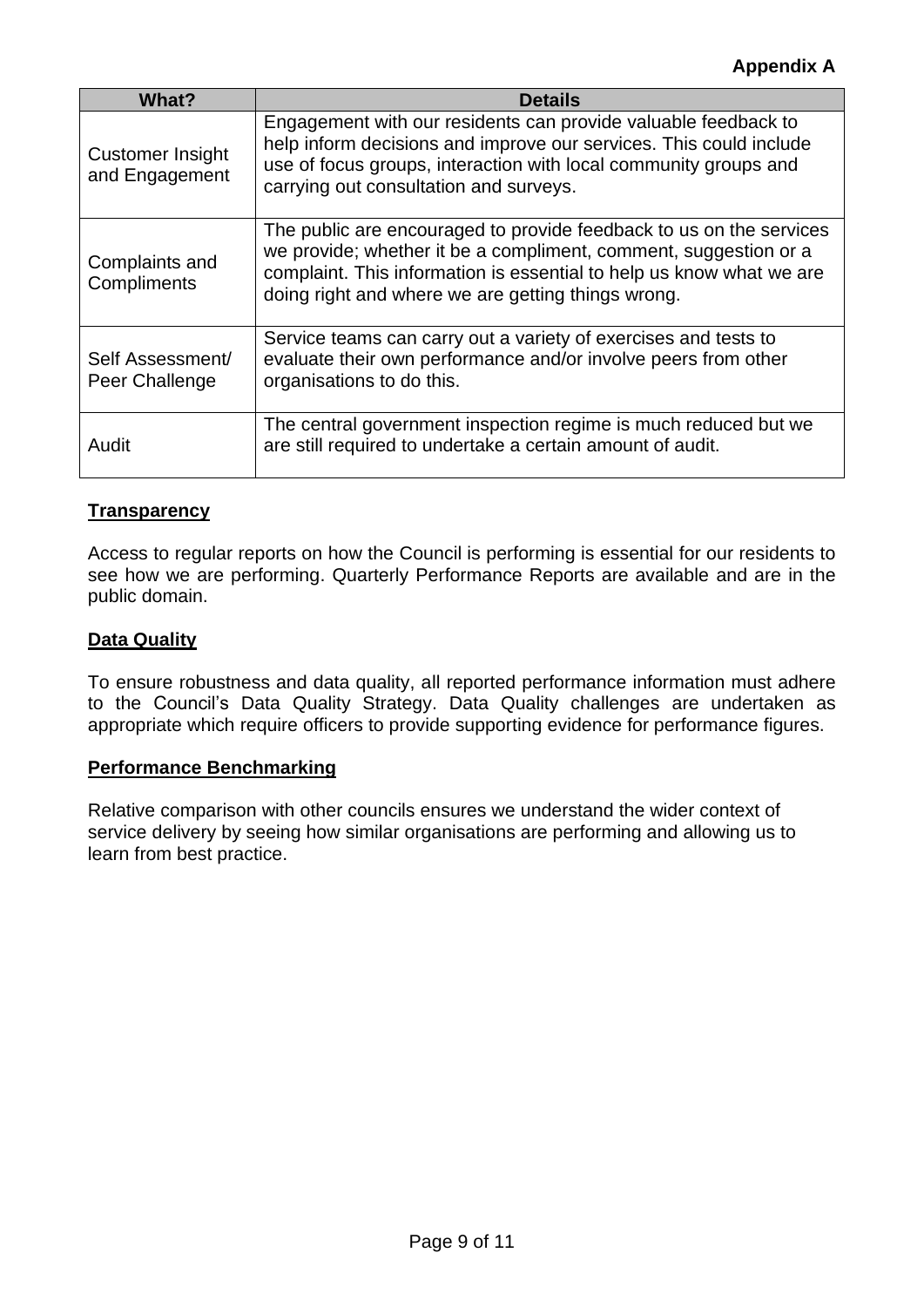| <b>What?</b>                              | <b>Details</b>                                                                                                                                                                                                                                                        |
|-------------------------------------------|-----------------------------------------------------------------------------------------------------------------------------------------------------------------------------------------------------------------------------------------------------------------------|
| <b>Customer Insight</b><br>and Engagement | Engagement with our residents can provide valuable feedback to<br>help inform decisions and improve our services. This could include<br>use of focus groups, interaction with local community groups and<br>carrying out consultation and surveys.                    |
| Complaints and<br>Compliments             | The public are encouraged to provide feedback to us on the services<br>we provide; whether it be a compliment, comment, suggestion or a<br>complaint. This information is essential to help us know what we are<br>doing right and where we are getting things wrong. |
| Self Assessment/<br>Peer Challenge        | Service teams can carry out a variety of exercises and tests to<br>evaluate their own performance and/or involve peers from other<br>organisations to do this.                                                                                                        |
| Audit                                     | The central government inspection regime is much reduced but we<br>are still required to undertake a certain amount of audit.                                                                                                                                         |

# **Transparency**

Access to regular reports on how the Council is performing is essential for our residents to see how we are performing. Quarterly Performance Reports are available and are in the public domain.

# **Data Quality**

To ensure robustness and data quality, all reported performance information must adhere to the Council's Data Quality Strategy. Data Quality challenges are undertaken as appropriate which require officers to provide supporting evidence for performance figures.

# **Performance Benchmarking**

Relative comparison with other councils ensures we understand the wider context of service delivery by seeing how similar organisations are performing and allowing us to learn from best practice.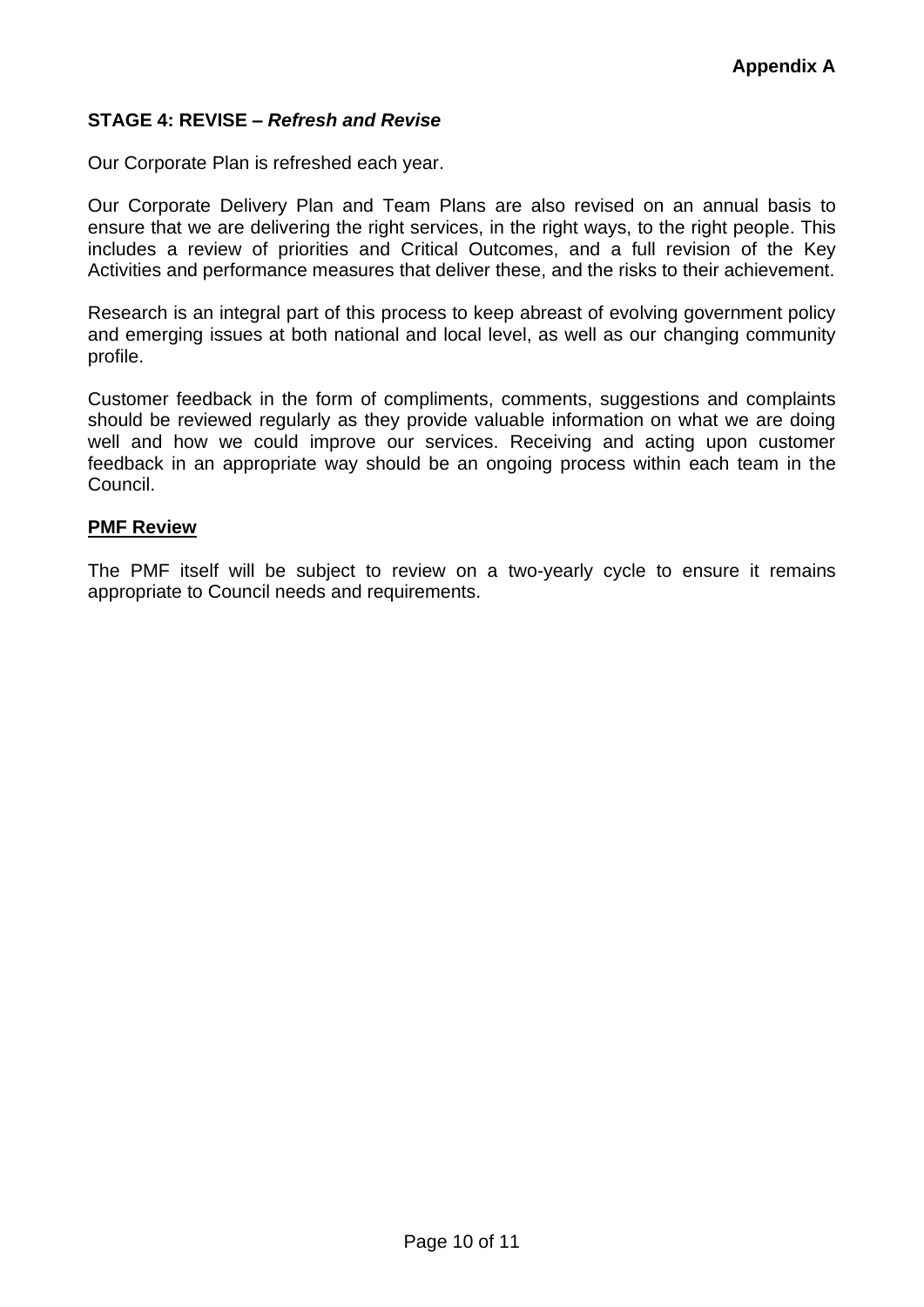# **STAGE 4: REVISE –** *Refresh and Revise*

Our Corporate Plan is refreshed each year.

Our Corporate Delivery Plan and Team Plans are also revised on an annual basis to ensure that we are delivering the right services, in the right ways, to the right people. This includes a review of priorities and Critical Outcomes, and a full revision of the Key Activities and performance measures that deliver these, and the risks to their achievement.

Research is an integral part of this process to keep abreast of evolving government policy and emerging issues at both national and local level, as well as our changing community profile.

Customer feedback in the form of compliments, comments, suggestions and complaints should be reviewed regularly as they provide valuable information on what we are doing well and how we could improve our services. Receiving and acting upon customer feedback in an appropriate way should be an ongoing process within each team in the Council.

#### **PMF Review**

The PMF itself will be subject to review on a two-yearly cycle to ensure it remains appropriate to Council needs and requirements.